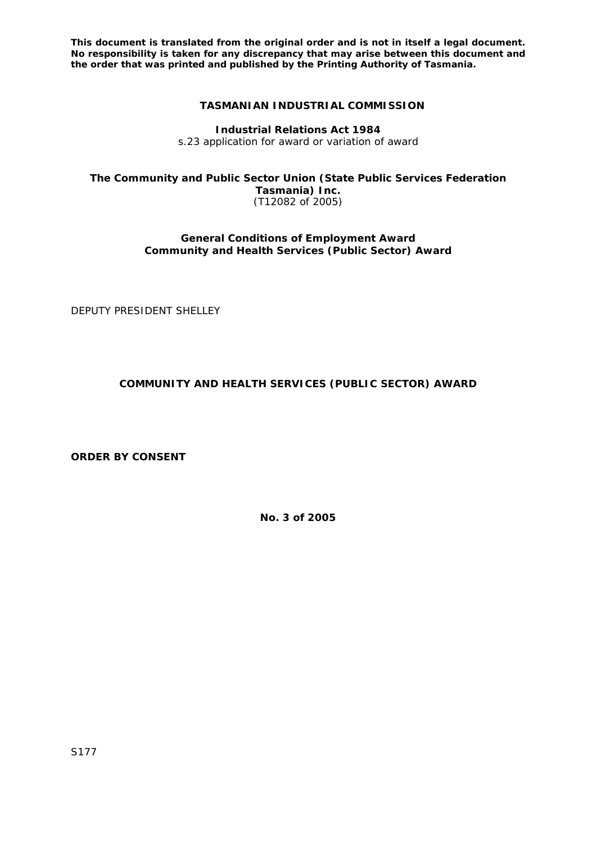**This document is translated from the original order and is not in itself a legal document. No responsibility is taken for any discrepancy that may arise between this document and the order that was printed and published by the Printing Authority of Tasmania.** 

## **TASMANIAN INDUSTRIAL COMMISSION**

**Industrial Relations Act 1984**  s.23 application for award or variation of award

**The Community and Public Sector Union (State Public Services Federation Tasmania) Inc.**  (T12082 of 2005)

> **General Conditions of Employment Award Community and Health Services (Public Sector) Award**

DEPUTY PRESIDENT SHELLEY

## **COMMUNITY AND HEALTH SERVICES (PUBLIC SECTOR) AWARD**

**ORDER BY CONSENT**

**No. 3 of 2005**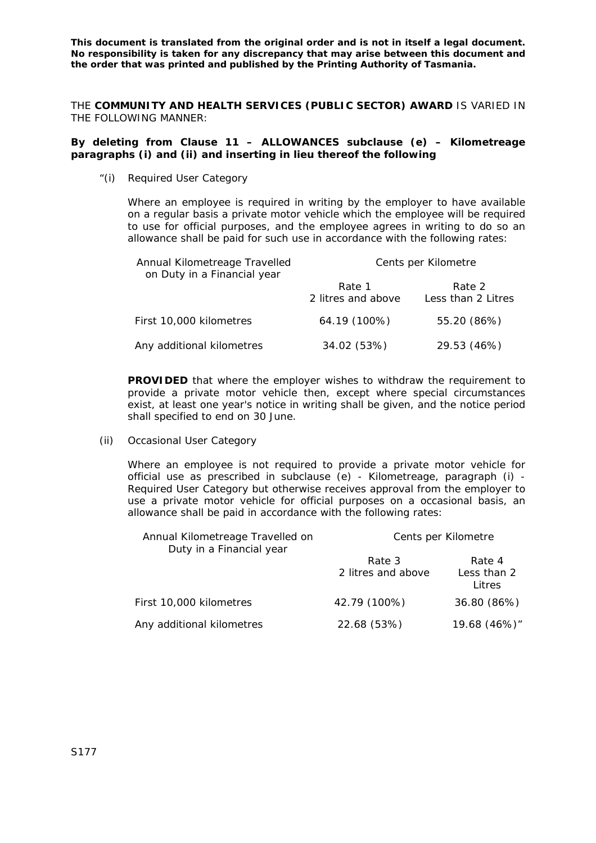**This document is translated from the original order and is not in itself a legal document. No responsibility is taken for any discrepancy that may arise between this document and the order that was printed and published by the Printing Authority of Tasmania.** 

THE **COMMUNITY AND HEALTH SERVICES (PUBLIC SECTOR) AWARD** IS VARIED IN THE FOLLOWING MANNER:

## **By deleting from Clause 11 – ALLOWANCES subclause (e) – Kilometreage paragraphs (i) and (ii) and inserting in lieu thereof the following**

"(i) Required User Category

Where an employee is required in writing by the employer to have available on a regular basis a private motor vehicle which the employee will be required to use for official purposes, and the employee agrees in writing to do so an allowance shall be paid for such use in accordance with the following rates:

| Annual Kilometreage Travelled<br>on Duty in a Financial year | Cents per Kilometre          |                              |
|--------------------------------------------------------------|------------------------------|------------------------------|
|                                                              | Rate 1<br>2 litres and above | Rate 2<br>Less than 2 Litres |
| First 10,000 kilometres                                      | 64.19 (100%)                 | 55.20 (86%)                  |
| Any additional kilometres                                    | 34.02 (53%)                  | 29.53 (46%)                  |

**PROVIDED** that where the employer wishes to withdraw the requirement to provide a private motor vehicle then, except where special circumstances exist, at least one year's notice in writing shall be given, and the notice period shall specified to end on 30 June.

(ii) Occasional User Category

Where an employee is not required to provide a private motor vehicle for official use as prescribed in subclause (e) - Kilometreage, paragraph (i) - Required User Category but otherwise receives approval from the employer to use a private motor vehicle for official purposes on a occasional basis, an allowance shall be paid in accordance with the following rates:

| Annual Kilometreage Travelled on<br>Duty in a Financial year | Cents per Kilometre          |                                 |
|--------------------------------------------------------------|------------------------------|---------------------------------|
|                                                              | Rate 3<br>2 litres and above | Rate 4<br>Less than 2<br>Litres |
| First 10,000 kilometres                                      | 42.79 (100%)                 | 36.80 (86%)                     |
| Any additional kilometres                                    | 22.68 (53%)                  | 19.68 (46%)"                    |